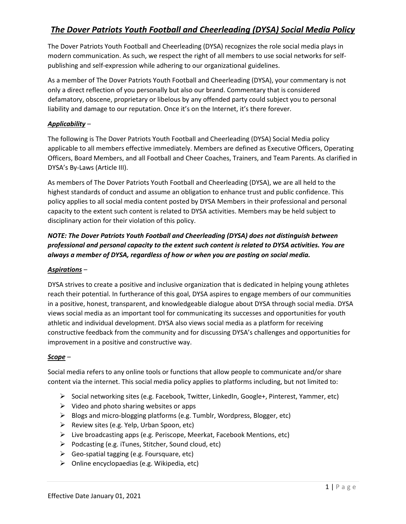The Dover Patriots Youth Football and Cheerleading (DYSA) recognizes the role social media plays in modern communication. As such, we respect the right of all members to use social networks for selfpublishing and self-expression while adhering to our organizational guidelines.

As a member of The Dover Patriots Youth Football and Cheerleading (DYSA), your commentary is not only a direct reflection of you personally but also our brand. Commentary that is considered defamatory, obscene, proprietary or libelous by any offended party could subject you to personal liability and damage to our reputation. Once it's on the Internet, it's there forever.

## *Applicability* –

The following is The Dover Patriots Youth Football and Cheerleading (DYSA) Social Media policy applicable to all members effective immediately. Members are defined as Executive Officers, Operating Officers, Board Members, and all Football and Cheer Coaches, Trainers, and Team Parents. As clarified in DYSA's By-Laws (Article III).

As members of The Dover Patriots Youth Football and Cheerleading (DYSA), we are all held to the highest standards of conduct and assume an obligation to enhance trust and public confidence. This policy applies to all social media content posted by DYSA Members in their professional and personal capacity to the extent such content is related to DYSA activities. Members may be held subject to disciplinary action for their violation of this policy.

# *NOTE: The Dover Patriots Youth Football and Cheerleading (DYSA) does not distinguish between professional and personal capacity to the extent such content is related to DYSA activities. You are always a member of DYSA, regardless of how or when you are posting on social media.*

## *Aspirations* –

DYSA strives to create a positive and inclusive organization that is dedicated in helping young athletes reach their potential. In furtherance of this goal, DYSA aspires to engage members of our communities in a positive, honest, transparent, and knowledgeable dialogue about DYSA through social media. DYSA views social media as an important tool for communicating its successes and opportunities for youth athletic and individual development. DYSA also views social media as a platform for receiving constructive feedback from the community and for discussing DYSA's challenges and opportunities for improvement in a positive and constructive way.

## *Scope* –

Social media refers to any online tools or functions that allow people to communicate and/or share content via the internet. This social media policy applies to platforms including, but not limited to:

- ➢ Social networking sites (e.g. Facebook, Twitter, LinkedIn, Google+, Pinterest, Yammer, etc)
- $\triangleright$  Video and photo sharing websites or apps
- ➢ Blogs and micro-blogging platforms (e.g. Tumblr, Wordpress, Blogger, etc)
- ➢ Review sites (e.g. Yelp, Urban Spoon, etc)
- ➢ Live broadcasting apps (e.g. Periscope, Meerkat, Facebook Mentions, etc)
- ➢ Podcasting (e.g. iTunes, Stitcher, Sound cloud, etc)
- $\triangleright$  Geo-spatial tagging (e.g. Foursquare, etc)
- $\triangleright$  Online encyclopaedias (e.g. Wikipedia, etc)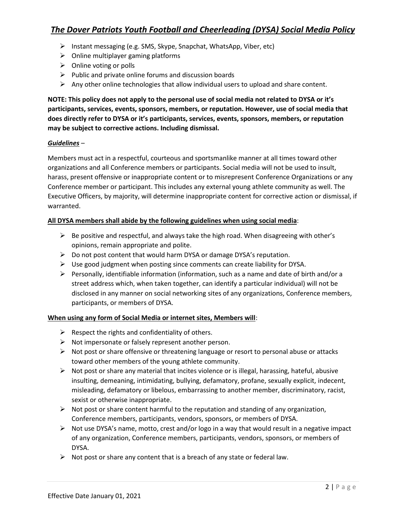- ➢ Instant messaging (e.g. SMS, Skype, Snapchat, WhatsApp, Viber, etc)
- $\triangleright$  Online multiplayer gaming platforms
- $\triangleright$  Online voting or polls
- $\triangleright$  Public and private online forums and discussion boards
- $\triangleright$  Any other online technologies that allow individual users to upload and share content.

**NOTE: This policy does not apply to the personal use of social media not related to DYSA or it's participants, services, events, sponsors, members, or reputation. However, use of social media that does directly refer to DYSA or it's participants, services, events, sponsors, members, or reputation may be subject to corrective actions. Including dismissal.** 

#### *Guidelines* –

Members must act in a respectful, courteous and sportsmanlike manner at all times toward other organizations and all Conference members or participants. Social media will not be used to insult, harass, present offensive or inappropriate content or to misrepresent Conference Organizations or any Conference member or participant. This includes any external young athlete community as well. The Executive Officers, by majority, will determine inappropriate content for corrective action or dismissal, if warranted.

#### **All DYSA members shall abide by the following guidelines when using social media**:

- $\triangleright$  Be positive and respectful, and always take the high road. When disagreeing with other's opinions, remain appropriate and polite.
- ➢ Do not post content that would harm DYSA or damage DYSA's reputation.
- $\triangleright$  Use good judgment when posting since comments can create liability for DYSA.
- $\triangleright$  Personally, identifiable information (information, such as a name and date of birth and/or a street address which, when taken together, can identify a particular individual) will not be disclosed in any manner on social networking sites of any organizations, Conference members, participants, or members of DYSA.

#### **When using any form of Social Media or internet sites, Members will**:

- $\triangleright$  Respect the rights and confidentiality of others.
- ➢ Not impersonate or falsely represent another person.
- $\triangleright$  Not post or share offensive or threatening language or resort to personal abuse or attacks toward other members of the young athlete community.
- $\triangleright$  Not post or share any material that incites violence or is illegal, harassing, hateful, abusive insulting, demeaning, intimidating, bullying, defamatory, profane, sexually explicit, indecent, misleading, defamatory or libelous, embarrassing to another member, discriminatory, racist, sexist or otherwise inappropriate.
- $\triangleright$  Not post or share content harmful to the reputation and standing of any organization, Conference members, participants, vendors, sponsors, or members of DYSA.
- $\triangleright$  Not use DYSA's name, motto, crest and/or logo in a way that would result in a negative impact of any organization, Conference members, participants, vendors, sponsors, or members of DYSA.
- $\triangleright$  Not post or share any content that is a breach of any state or federal law.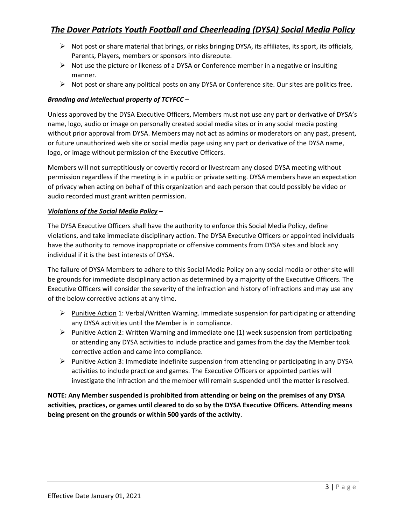- $\triangleright$  Not post or share material that brings, or risks bringing DYSA, its affiliates, its sport, its officials, Parents, Players, members or sponsors into disrepute.
- $\triangleright$  Not use the picture or likeness of a DYSA or Conference member in a negative or insulting manner.
- ➢ Not post or share any political posts on any DYSA or Conference site. Our sites are politics free.

# *Branding and intellectual property of TCYFCC* –

Unless approved by the DYSA Executive Officers, Members must not use any part or derivative of DYSA's name, logo, audio or image on personally created social media sites or in any social media posting without prior approval from DYSA. Members may not act as admins or moderators on any past, present, or future unauthorized web site or social media page using any part or derivative of the DYSA name, logo, or image without permission of the Executive Officers.

Members will not surreptitiously or covertly record or livestream any closed DYSA meeting without permission regardless if the meeting is in a public or private setting. DYSA members have an expectation of privacy when acting on behalf of this organization and each person that could possibly be video or audio recorded must grant written permission.

## *Violations of the Social Media Policy* –

The DYSA Executive Officers shall have the authority to enforce this Social Media Policy, define violations, and take immediate disciplinary action. The DYSA Executive Officers or appointed individuals have the authority to remove inappropriate or offensive comments from DYSA sites and block any individual if it is the best interests of DYSA.

The failure of DYSA Members to adhere to this Social Media Policy on any social media or other site will be grounds for immediate disciplinary action as determined by a majority of the Executive Officers. The Executive Officers will consider the severity of the infraction and history of infractions and may use any of the below corrective actions at any time.

- ➢ Punitive Action 1: Verbal/Written Warning. Immediate suspension for participating or attending any DYSA activities until the Member is in compliance.
- $\triangleright$  Punitive Action 2: Written Warning and immediate one (1) week suspension from participating or attending any DYSA activities to include practice and games from the day the Member took corrective action and came into compliance.
- ➢ Punitive Action 3: Immediate indefinite suspension from attending or participating in any DYSA activities to include practice and games. The Executive Officers or appointed parties will investigate the infraction and the member will remain suspended until the matter is resolved.

**NOTE: Any Member suspended is prohibited from attending or being on the premises of any DYSA activities, practices, or games until cleared to do so by the DYSA Executive Officers. Attending means being present on the grounds or within 500 yards of the activity**.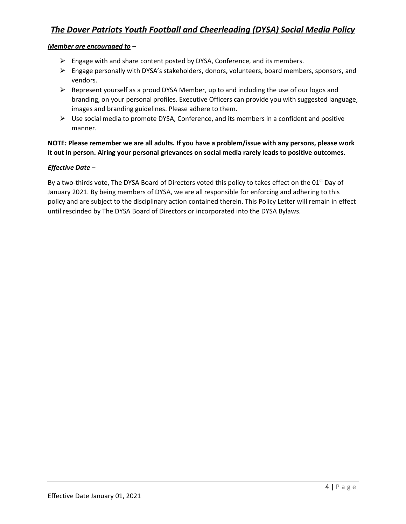#### *Member are encouraged to* –

- ➢ Engage with and share content posted by DYSA, Conference, and its members.
- $\triangleright$  Engage personally with DYSA's stakeholders, donors, volunteers, board members, sponsors, and vendors.
- $\triangleright$  Represent yourself as a proud DYSA Member, up to and including the use of our logos and branding, on your personal profiles. Executive Officers can provide you with suggested language, images and branding guidelines. Please adhere to them.
- $\triangleright$  Use social media to promote DYSA, Conference, and its members in a confident and positive manner.

## **NOTE: Please remember we are all adults. If you have a problem/issue with any persons, please work it out in person. Airing your personal grievances on social media rarely leads to positive outcomes.**

## *Effective Date* –

By a two-thirds vote, The DYSA Board of Directors voted this policy to takes effect on the 01<sup>st</sup> Day of January 2021. By being members of DYSA, we are all responsible for enforcing and adhering to this policy and are subject to the disciplinary action contained therein. This Policy Letter will remain in effect until rescinded by The DYSA Board of Directors or incorporated into the DYSA Bylaws.